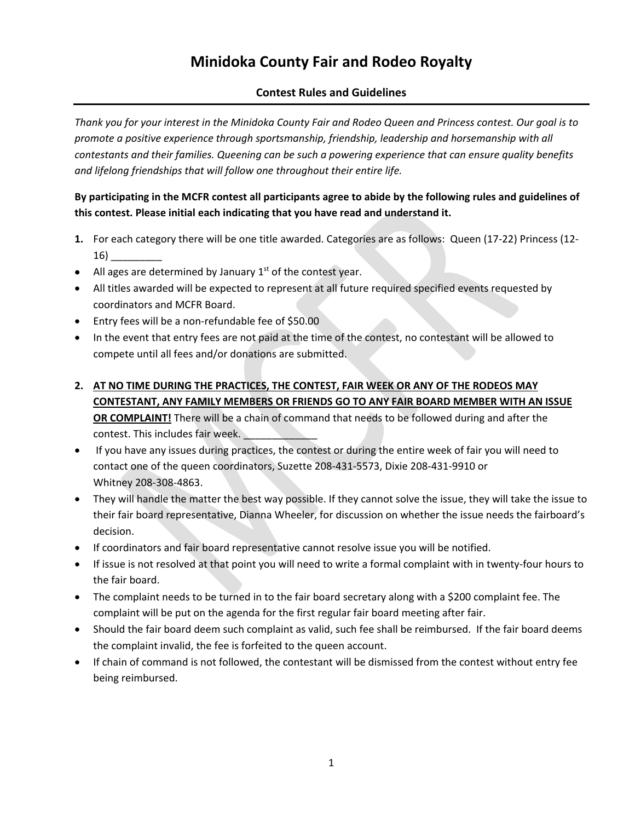### **Minidoka County Fair and Rodeo Royalty**

### **Contest Rules and Guidelines**

*Thank you for your interest in the Minidoka County Fair and Rodeo Queen and Princess contest. Our goal is to promote a positive experience through sportsmanship, friendship, leadership and horsemanship with all contestants and their families. Queening can be such a powering experience that can ensure quality benefits and lifelong friendships that will follow one throughout their entire life.* 

### **By participating in the MCFR contest all participants agree to abide by the following rules and guidelines of this contest. Please initial each indicating that you have read and understand it.**

- **1.** For each category there will be one title awarded. Categories are as follows: Queen (17-22) Princess (12-  $16)$   $\_$
- All ages are determined by January  $1<sup>st</sup>$  of the contest year.
- All titles awarded will be expected to represent at all future required specified events requested by coordinators and MCFR Board.
- Entry fees will be a non-refundable fee of \$50.00
- In the event that entry fees are not paid at the time of the contest, no contestant will be allowed to compete until all fees and/or donations are submitted.
- **2. AT NO TIME DURING THE PRACTICES, THE CONTEST, FAIR WEEK OR ANY OF THE RODEOS MAY CONTESTANT, ANY FAMILY MEMBERS OR FRIENDS GO TO ANY FAIR BOARD MEMBER WITH AN ISSUE OR COMPLAINT!** There will be a chain of command that needs to be followed during and after the contest. This includes fair week.
- If you have any issues during practices, the contest or during the entire week of fair you will need to contact one of the queen coordinators, Suzette 208-431-5573, Dixie 208-431-9910 or Whitney 208-308-4863.
- They will handle the matter the best way possible. If they cannot solve the issue, they will take the issue to their fair board representative, Dianna Wheeler, for discussion on whether the issue needs the fairboard's decision.
- If coordinators and fair board representative cannot resolve issue you will be notified.
- If issue is not resolved at that point you will need to write a formal complaint with in twenty-four hours to the fair board.
- The complaint needs to be turned in to the fair board secretary along with a \$200 complaint fee. The complaint will be put on the agenda for the first regular fair board meeting after fair.
- Should the fair board deem such complaint as valid, such fee shall be reimbursed. If the fair board deems the complaint invalid, the fee is forfeited to the queen account.
- If chain of command is not followed, the contestant will be dismissed from the contest without entry fee being reimbursed.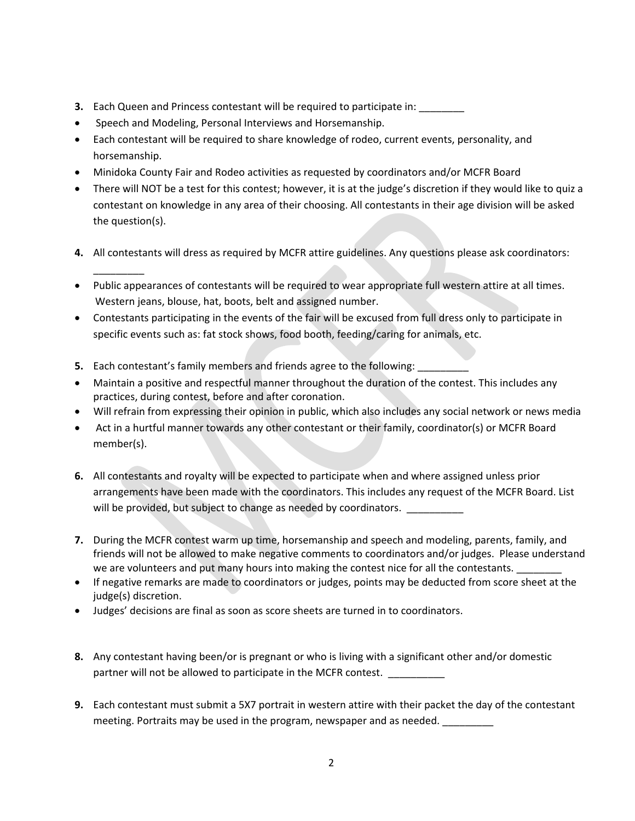- **3.** Each Queen and Princess contestant will be required to participate in: \_\_\_\_\_\_
- Speech and Modeling, Personal Interviews and Horsemanship.

\_\_\_\_\_\_\_\_\_

- Each contestant will be required to share knowledge of rodeo, current events, personality, and horsemanship.
- Minidoka County Fair and Rodeo activities as requested by coordinators and/or MCFR Board
- There will NOT be a test for this contest; however, it is at the judge's discretion if they would like to quiz a contestant on knowledge in any area of their choosing. All contestants in their age division will be asked the question(s).
- **4.** All contestants will dress as required by MCFR attire guidelines. Any questions please ask coordinators:
- Public appearances of contestants will be required to wear appropriate full western attire at all times. Western jeans, blouse, hat, boots, belt and assigned number.
- Contestants participating in the events of the fair will be excused from full dress only to participate in specific events such as: fat stock shows, food booth, feeding/caring for animals, etc.
- **5.** Each contestant's family members and friends agree to the following:
- Maintain a positive and respectful manner throughout the duration of the contest. This includes any practices, during contest, before and after coronation.
- Will refrain from expressing their opinion in public, which also includes any social network or news media
- Act in a hurtful manner towards any other contestant or their family, coordinator(s) or MCFR Board member(s).
- **6.** All contestants and royalty will be expected to participate when and where assigned unless prior arrangements have been made with the coordinators. This includes any request of the MCFR Board. List will be provided, but subject to change as needed by coordinators.
- **7.** During the MCFR contest warm up time, horsemanship and speech and modeling, parents, family, and friends will not be allowed to make negative comments to coordinators and/or judges. Please understand we are volunteers and put many hours into making the contest nice for all the contestants.
- If negative remarks are made to coordinators or judges, points may be deducted from score sheet at the judge(s) discretion.
- Judges' decisions are final as soon as score sheets are turned in to coordinators.
- **8.** Any contestant having been/or is pregnant or who is living with a significant other and/or domestic partner will not be allowed to participate in the MCFR contest.
- **9.** Each contestant must submit a 5X7 portrait in western attire with their packet the day of the contestant meeting. Portraits may be used in the program, newspaper and as needed. \_\_\_\_\_\_\_\_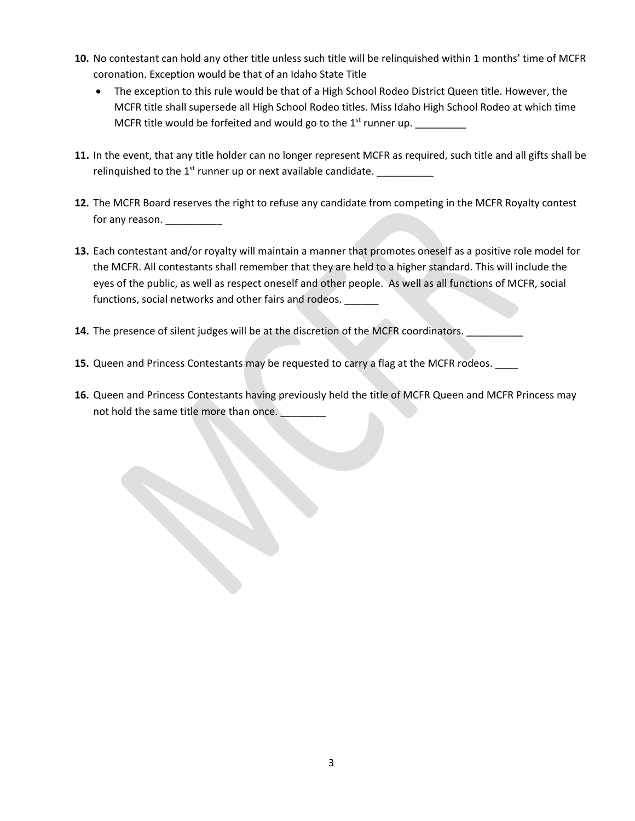- **10.** No contestant can hold any other title unless such title will be relinquished within 1 months' time of MCFR coronation. Exception would be that of an Idaho State Title
	- The exception to this rule would be that of a High School Rodeo District Queen title. However, the MCFR title shall supersede all High School Rodeo titles. Miss Idaho High School Rodeo at which time MCFR title would be forfeited and would go to the  $1<sup>st</sup>$  runner up.
- **11.** In the event, that any title holder can no longer represent MCFR as required, such title and all gifts shall be relinquished to the  $1^{st}$  runner up or next available candidate.
- **12.** The MCFR Board reserves the right to refuse any candidate from competing in the MCFR Royalty contest for any reason. \_\_\_\_\_\_\_\_\_\_
- **13.** Each contestant and/or royalty will maintain a manner that promotes oneself as a positive role model for the MCFR. All contestants shall remember that they are held to a higher standard. This will include the eyes of the public, as well as respect oneself and other people. As well as all functions of MCFR, social functions, social networks and other fairs and rodeos. \_\_\_\_\_\_
- **14.** The presence of silent judges will be at the discretion of the MCFR coordinators.
- 15. Queen and Princess Contestants may be requested to carry a flag at the MCFR rodeos. \_\_\_
- **16.** Queen and Princess Contestants having previously held the title of MCFR Queen and MCFR Princess may not hold the same title more than once.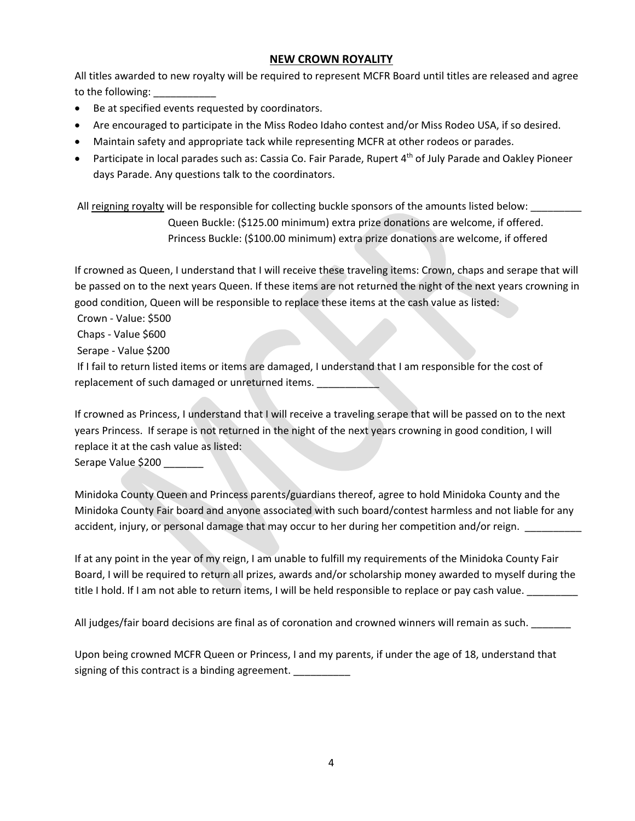### **NEW CROWN ROYALITY**

All titles awarded to new royalty will be required to represent MCFR Board until titles are released and agree to the following:

- Be at specified events requested by coordinators.
- Are encouraged to participate in the Miss Rodeo Idaho contest and/or Miss Rodeo USA, if so desired.
- Maintain safety and appropriate tack while representing MCFR at other rodeos or parades.
- Participate in local parades such as: Cassia Co. Fair Parade, Rupert  $4<sup>th</sup>$  of July Parade and Oakley Pioneer days Parade. Any questions talk to the coordinators.

All reigning royalty will be responsible for collecting buckle sponsors of the amounts listed below: Queen Buckle: (\$125.00 minimum) extra prize donations are welcome, if offered. Princess Buckle: (\$100.00 minimum) extra prize donations are welcome, if offered

If crowned as Queen, I understand that I will receive these traveling items: Crown, chaps and serape that will be passed on to the next years Queen. If these items are not returned the night of the next years crowning in good condition, Queen will be responsible to replace these items at the cash value as listed:

Crown - Value: \$500

Chaps - Value \$600

Serape - Value \$200

If I fail to return listed items or items are damaged, I understand that I am responsible for the cost of replacement of such damaged or unreturned items.

If crowned as Princess, I understand that I will receive a traveling serape that will be passed on to the next years Princess. If serape is not returned in the night of the next years crowning in good condition, I will replace it at the cash value as listed:

Serape Value \$200

Minidoka County Queen and Princess parents/guardians thereof, agree to hold Minidoka County and the Minidoka County Fair board and anyone associated with such board/contest harmless and not liable for any accident, injury, or personal damage that may occur to her during her competition and/or reign.

If at any point in the year of my reign, I am unable to fulfill my requirements of the Minidoka County Fair Board, I will be required to return all prizes, awards and/or scholarship money awarded to myself during the title I hold. If I am not able to return items, I will be held responsible to replace or pay cash value.

All judges/fair board decisions are final as of coronation and crowned winners will remain as such.

Upon being crowned MCFR Queen or Princess, I and my parents, if under the age of 18, understand that signing of this contract is a binding agreement.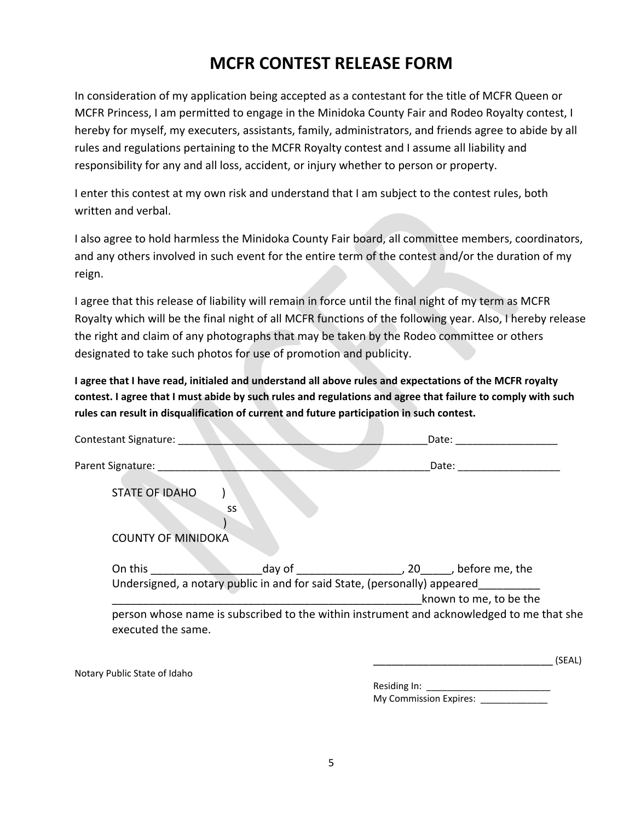## **MCFR CONTEST RELEASE FORM**

In consideration of my application being accepted as a contestant for the title of MCFR Queen or MCFR Princess, I am permitted to engage in the Minidoka County Fair and Rodeo Royalty contest, I hereby for myself, my executers, assistants, family, administrators, and friends agree to abide by all rules and regulations pertaining to the MCFR Royalty contest and I assume all liability and responsibility for any and all loss, accident, or injury whether to person or property.

I enter this contest at my own risk and understand that I am subject to the contest rules, both written and verbal.

I also agree to hold harmless the Minidoka County Fair board, all committee members, coordinators, and any others involved in such event for the entire term of the contest and/or the duration of my reign.

I agree that this release of liability will remain in force until the final night of my term as MCFR Royalty which will be the final night of all MCFR functions of the following year. Also, I hereby release the right and claim of any photographs that may be taken by the Rodeo committee or others designated to take such photos for use of promotion and publicity.

**I agree that I have read, initialed and understand all above rules and expectations of the MCFR royalty contest. I agree that I must abide by such rules and regulations and agree that failure to comply with such rules can result in disqualification of current and future participation in such contest.**

| <b>Contestant Signature:</b> |                                                                                     | Date:                                                                                                              |
|------------------------------|-------------------------------------------------------------------------------------|--------------------------------------------------------------------------------------------------------------------|
| Parent Signature:            |                                                                                     | Date:                                                                                                              |
| <b>STATE OF IDAHO</b>        | SS                                                                                  |                                                                                                                    |
| <b>COUNTY OF MINIDOKA</b>    |                                                                                     |                                                                                                                    |
| On this                      | day of<br>Undersigned, a notary public in and for said State, (personally) appeared | , 20 , before me, the                                                                                              |
|                              |                                                                                     | known to me, to be the<br>person whose name is subscribed to the within instrument and acknowledged to me that she |
| executed the same.           |                                                                                     |                                                                                                                    |

Notary Public State of Idaho

Residing In: My Commission Expires: \_\_\_\_\_\_\_\_

 $(SEAL)$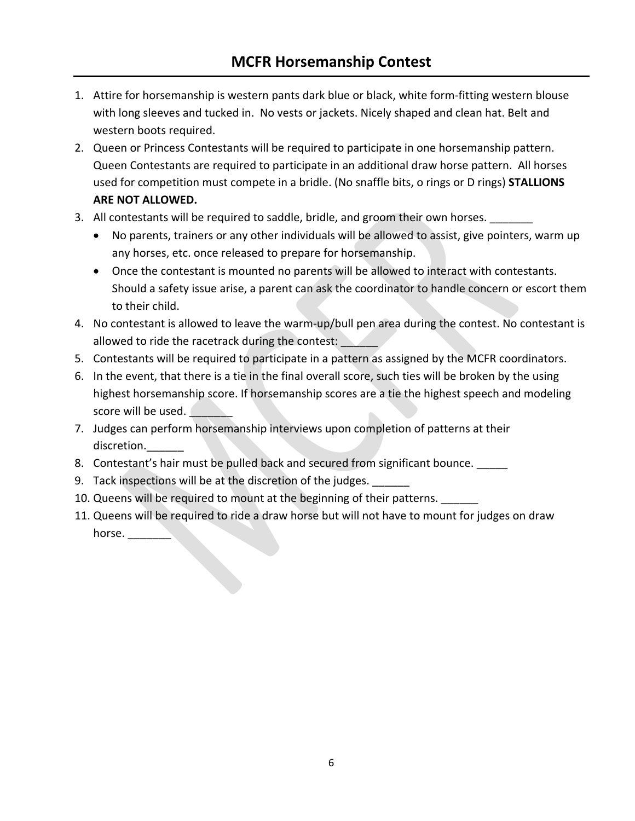- 1. Attire for horsemanship is western pants dark blue or black, white form-fitting western blouse with long sleeves and tucked in. No vests or jackets. Nicely shaped and clean hat. Belt and western boots required.
- 2. Queen or Princess Contestants will be required to participate in one horsemanship pattern. Queen Contestants are required to participate in an additional draw horse pattern. All horses used for competition must compete in a bridle. (No snaffle bits, o rings or D rings) **STALLIONS ARE NOT ALLOWED.**
- 3. All contestants will be required to saddle, bridle, and groom their own horses.
	- No parents, trainers or any other individuals will be allowed to assist, give pointers, warm up any horses, etc. once released to prepare for horsemanship.
	- Once the contestant is mounted no parents will be allowed to interact with contestants. Should a safety issue arise, a parent can ask the coordinator to handle concern or escort them to their child.
- 4. No contestant is allowed to leave the warm-up/bull pen area during the contest. No contestant is allowed to ride the racetrack during the contest:
- 5. Contestants will be required to participate in a pattern as assigned by the MCFR coordinators.
- 6. In the event, that there is a tie in the final overall score, such ties will be broken by the using highest horsemanship score. If horsemanship scores are a tie the highest speech and modeling score will be used.
- 7. Judges can perform horsemanship interviews upon completion of patterns at their discretion.
- 8. Contestant's hair must be pulled back and secured from significant bounce.
- 9. Tack inspections will be at the discretion of the judges.
- 10. Queens will be required to mount at the beginning of their patterns.
- 11. Queens will be required to ride a draw horse but will not have to mount for judges on draw horse. $\_\_$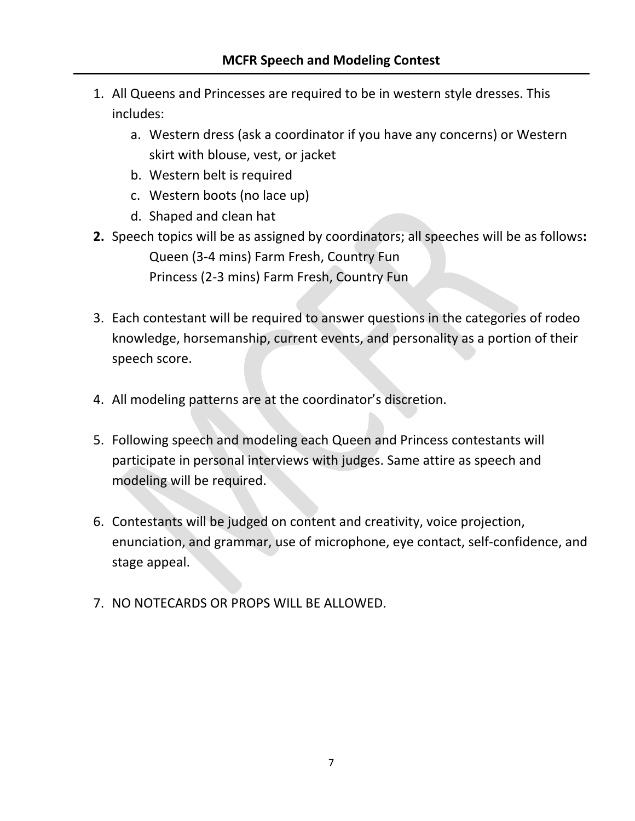- 1. All Queens and Princesses are required to be in western style dresses. This includes:
	- a. Western dress (ask a coordinator if you have any concerns) or Western skirt with blouse, vest, or jacket
	- b. Western belt is required
	- c. Western boots (no lace up)
	- d. Shaped and clean hat
- **2.** Speech topics will be as assigned by coordinators; all speeches will be as follows**:**  Queen (3-4 mins) Farm Fresh, Country Fun Princess (2-3 mins) Farm Fresh, Country Fun
- 3. Each contestant will be required to answer questions in the categories of rodeo knowledge, horsemanship, current events, and personality as a portion of their speech score.
- 4. All modeling patterns are at the coordinator's discretion.
- 5. Following speech and modeling each Queen and Princess contestants will participate in personal interviews with judges. Same attire as speech and modeling will be required.
- 6. Contestants will be judged on content and creativity, voice projection, enunciation, and grammar, use of microphone, eye contact, self-confidence, and stage appeal.
- 7. NO NOTECARDS OR PROPS WILL BE ALLOWED.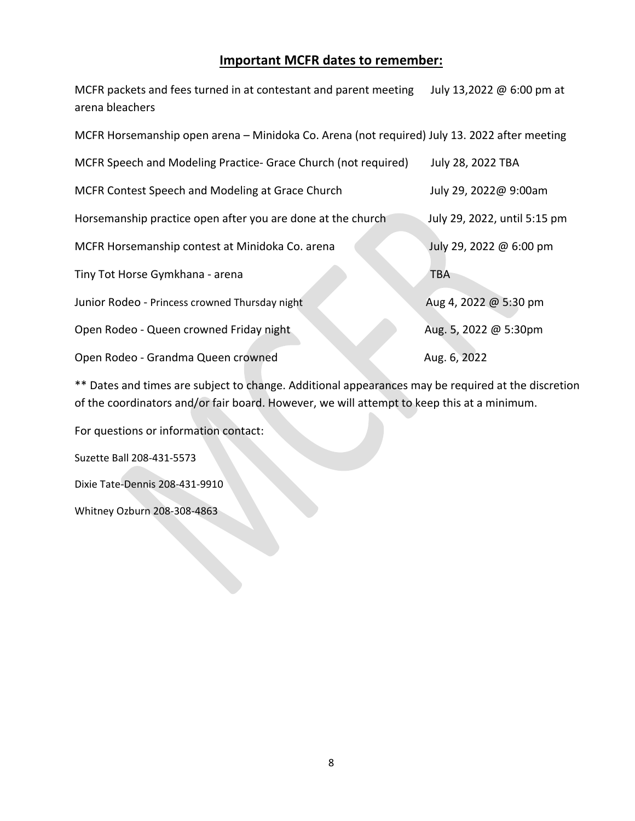### **Important MCFR dates to remember:**

MCFR packets and fees turned in at contestant and parent meeting July 13,2022 @ 6:00 pm at arena bleachers

| MCFR Horsemanship open arena - Minidoka Co. Arena (not required) July 13. 2022 after meeting |                              |  |  |  |
|----------------------------------------------------------------------------------------------|------------------------------|--|--|--|
| MCFR Speech and Modeling Practice- Grace Church (not required)                               | July 28, 2022 TBA            |  |  |  |
| MCFR Contest Speech and Modeling at Grace Church                                             | July 29, 2022@ 9:00am        |  |  |  |
| Horsemanship practice open after you are done at the church                                  | July 29, 2022, until 5:15 pm |  |  |  |
| MCFR Horsemanship contest at Minidoka Co. arena                                              | July 29, 2022 @ 6:00 pm      |  |  |  |
| Tiny Tot Horse Gymkhana - arena                                                              | <b>TBA</b>                   |  |  |  |
| Junior Rodeo - Princess crowned Thursday night                                               | Aug 4, 2022 @ 5:30 pm        |  |  |  |
| Open Rodeo - Queen crowned Friday night                                                      | Aug. 5, 2022 @ 5:30pm        |  |  |  |
| Open Rodeo - Grandma Queen crowned                                                           | Aug. 6, 2022                 |  |  |  |

\*\* Dates and times are subject to change. Additional appearances may be required at the discretion of the coordinators and/or fair board. However, we will attempt to keep this at a minimum.

For questions or information contact:

Suzette Ball 208-431-5573

Dixie Tate-Dennis 208-431-9910

Whitney Ozburn 208-308-4863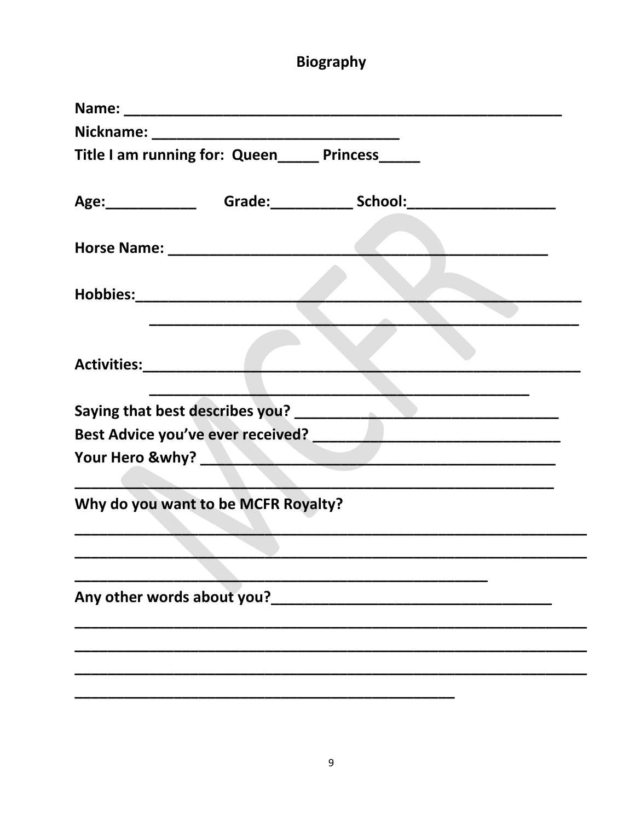# **Biography**

|                         | Title I am running for: Queen_____ Princess_____ |                                                                                  |  |
|-------------------------|--------------------------------------------------|----------------------------------------------------------------------------------|--|
|                         |                                                  | Age: ________________________Grade: _________________School: ___________________ |  |
|                         |                                                  |                                                                                  |  |
|                         |                                                  |                                                                                  |  |
| Activities: Activities: |                                                  |                                                                                  |  |
|                         |                                                  |                                                                                  |  |
|                         |                                                  |                                                                                  |  |
|                         |                                                  | Your Hero &why? New Your Hero &why?                                              |  |
|                         | Why do you want to be MCFR Royalty?              |                                                                                  |  |
|                         |                                                  |                                                                                  |  |
|                         | Any other words about you?                       |                                                                                  |  |
|                         |                                                  |                                                                                  |  |
|                         |                                                  |                                                                                  |  |
|                         |                                                  |                                                                                  |  |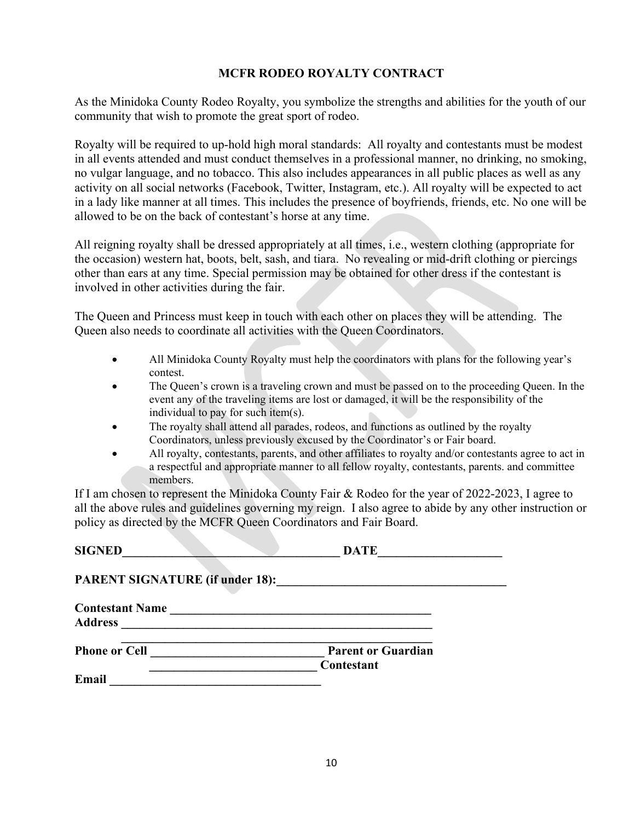### **MCFR RODEO ROYALTY CONTRACT**

As the Minidoka County Rodeo Royalty, you symbolize the strengths and abilities for the youth of our community that wish to promote the great sport of rodeo.

Royalty will be required to up-hold high moral standards: All royalty and contestants must be modest in all events attended and must conduct themselves in a professional manner, no drinking, no smoking, no vulgar language, and no tobacco. This also includes appearances in all public places as well as any activity on all social networks (Facebook, Twitter, Instagram, etc.). All royalty will be expected to act in a lady like manner at all times. This includes the presence of boyfriends, friends, etc. No one will be allowed to be on the back of contestant's horse at any time.

All reigning royalty shall be dressed appropriately at all times, i.e., western clothing (appropriate for the occasion) western hat, boots, belt, sash, and tiara. No revealing or mid-drift clothing or piercings other than ears at any time. Special permission may be obtained for other dress if the contestant is involved in other activities during the fair.

The Queen and Princess must keep in touch with each other on places they will be attending. The Queen also needs to coordinate all activities with the Queen Coordinators.

- All Minidoka County Royalty must help the coordinators with plans for the following year's contest.
- The Queen's crown is a traveling crown and must be passed on to the proceeding Queen. In the event any of the traveling items are lost or damaged, it will be the responsibility of the individual to pay for such item(s).
- The royalty shall attend all parades, rodeos, and functions as outlined by the royalty Coordinators, unless previously excused by the Coordinator's or Fair board.
- All royalty, contestants, parents, and other affiliates to royalty and/or contestants agree to act in a respectful and appropriate manner to all fellow royalty, contestants, parents. and committee members.

If I am chosen to represent the Minidoka County Fair & Rodeo for the year of 2022-2023, I agree to all the above rules and guidelines governing my reign. I also agree to abide by any other instruction or policy as directed by the MCFR Queen Coordinators and Fair Board.

| <b>SIGNED</b>                            | <b>DATE</b>                             |
|------------------------------------------|-----------------------------------------|
| <b>PARENT SIGNATURE (if under 18):</b>   |                                         |
| <b>Contestant Name</b><br><b>Address</b> |                                         |
| <b>Phone or Cell</b>                     | <b>Parent or Guardian</b><br>Contestant |
| Email                                    |                                         |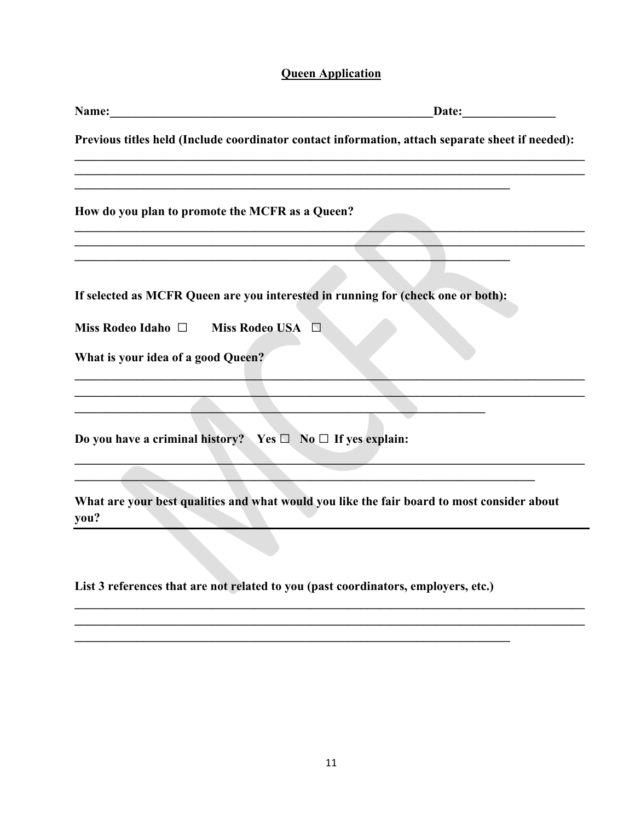### **Queen Application**

| Name:<br>Date:                                                                                     |  |
|----------------------------------------------------------------------------------------------------|--|
| Previous titles held (Include coordinator contact information, attach separate sheet if needed):   |  |
| How do you plan to promote the MCFR as a Queen?                                                    |  |
|                                                                                                    |  |
| If selected as MCFR Queen are you interested in running for (check one or both):                   |  |
| Miss Rodeo Idaho $\Box$<br><b>Miss Rodeo USA</b><br>$\Box$                                         |  |
| What is your idea of a good Queen?                                                                 |  |
|                                                                                                    |  |
| Do you have a criminal history? Yes $\Box$ No $\Box$ If yes explain:                               |  |
| What are your best qualities and what would you like the fair board to most consider about<br>you? |  |
|                                                                                                    |  |
| List 3 references that are not related to you (past coordinators, employers, etc.)                 |  |
|                                                                                                    |  |